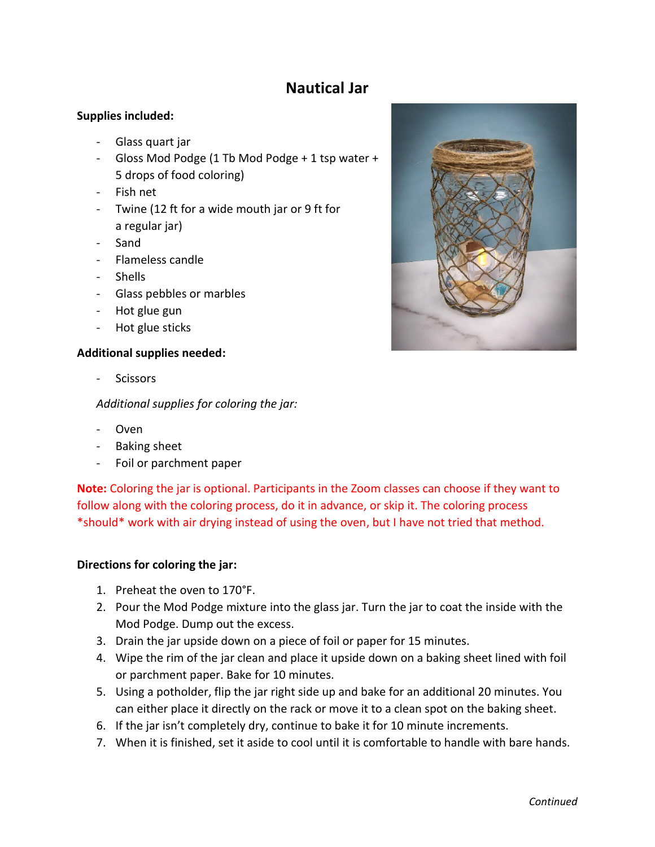# **Nautical Jar**

### **Supplies included:**

- Glass quart jar
- Gloss Mod Podge (1 Tb Mod Podge + 1 tsp water + 5 drops of food coloring)
- Fish net
- Twine (12 ft for a wide mouth jar or 9 ft for a regular jar)
- Sand
- Flameless candle
- Shells
- Glass pebbles or marbles
- Hot glue gun
- Hot glue sticks

#### **Additional supplies needed:**

- Scissors

*Additional supplies for coloring the jar:*

- Oven
- Baking sheet
- Foil or parchment paper

**Note:** Coloring the jar is optional. Participants in the Zoom classes can choose if they want to follow along with the coloring process, do it in advance, or skip it. The coloring process \*should\* work with air drying instead of using the oven, but I have not tried that method.

#### **Directions for coloring the jar:**

- 1. Preheat the oven to 170°F.
- 2. Pour the Mod Podge mixture into the glass jar. Turn the jar to coat the inside with the Mod Podge. Dump out the excess.
- 3. Drain the jar upside down on a piece of foil or paper for 15 minutes.
- 4. Wipe the rim of the jar clean and place it upside down on a baking sheet lined with foil or parchment paper. Bake for 10 minutes.
- 5. Using a potholder, flip the jar right side up and bake for an additional 20 minutes. You can either place it directly on the rack or move it to a clean spot on the baking sheet.
- 6. If the jar isn't completely dry, continue to bake it for 10 minute increments.
- 7. When it is finished, set it aside to cool until it is comfortable to handle with bare hands.